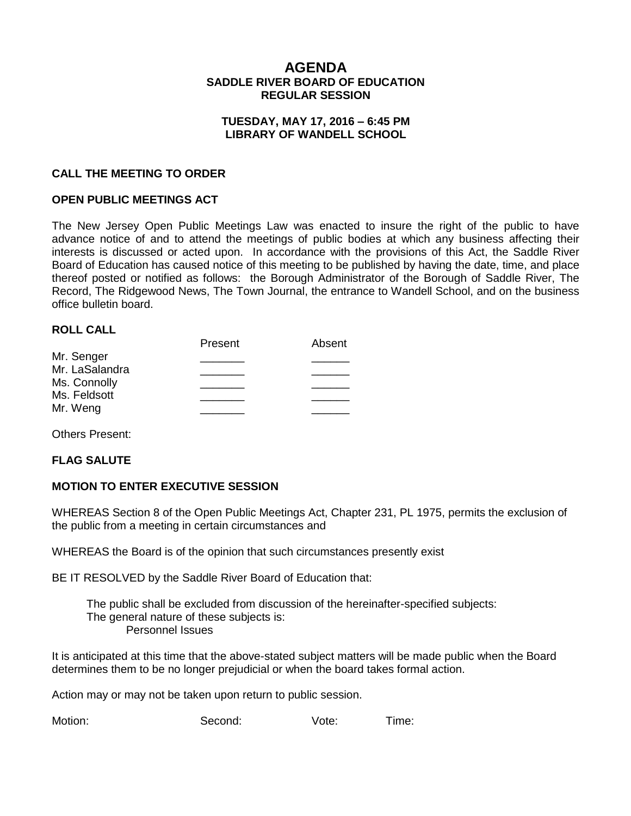## **AGENDA SADDLE RIVER BOARD OF EDUCATION REGULAR SESSION**

#### **TUESDAY, MAY 17, 2016 – 6:45 PM LIBRARY OF WANDELL SCHOOL**

#### **CALL THE MEETING TO ORDER**

#### **OPEN PUBLIC MEETINGS ACT**

The New Jersey Open Public Meetings Law was enacted to insure the right of the public to have advance notice of and to attend the meetings of public bodies at which any business affecting their interests is discussed or acted upon. In accordance with the provisions of this Act, the Saddle River Board of Education has caused notice of this meeting to be published by having the date, time, and place thereof posted or notified as follows: the Borough Administrator of the Borough of Saddle River, The Record, The Ridgewood News, The Town Journal, the entrance to Wandell School, and on the business office bulletin board.

#### **ROLL CALL**

|                | Present | Absent |
|----------------|---------|--------|
| Mr. Senger     |         |        |
| Mr. LaSalandra |         |        |
| Ms. Connolly   |         |        |
| Ms. Feldsott   |         |        |
| Mr. Weng       |         |        |
|                |         |        |

Others Present:

#### **FLAG SALUTE**

#### **MOTION TO ENTER EXECUTIVE SESSION**

WHEREAS Section 8 of the Open Public Meetings Act, Chapter 231, PL 1975, permits the exclusion of the public from a meeting in certain circumstances and

WHEREAS the Board is of the opinion that such circumstances presently exist

BE IT RESOLVED by the Saddle River Board of Education that:

 The public shall be excluded from discussion of the hereinafter-specified subjects: The general nature of these subjects is: Personnel Issues

It is anticipated at this time that the above-stated subject matters will be made public when the Board determines them to be no longer prejudicial or when the board takes formal action.

Action may or may not be taken upon return to public session.

Motion: Second: Vote: Time: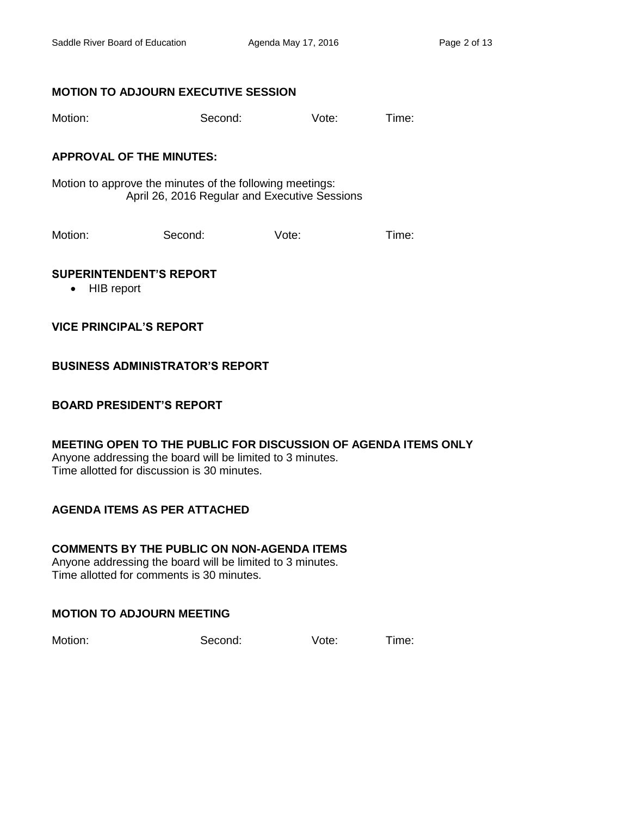### **MOTION TO ADJOURN EXECUTIVE SESSION**

| Motion: | Second: | Vote: | Time: |
|---------|---------|-------|-------|
|         |         |       |       |

### **APPROVAL OF THE MINUTES:**

Motion to approve the minutes of the following meetings: April 26, 2016 Regular and Executive Sessions

Motion: Second: Vote: Time:

### **SUPERINTENDENT'S REPORT**

• HIB report

## **VICE PRINCIPAL'S REPORT**

## **BUSINESS ADMINISTRATOR'S REPORT**

### **BOARD PRESIDENT'S REPORT**

#### **MEETING OPEN TO THE PUBLIC FOR DISCUSSION OF AGENDA ITEMS ONLY** Anyone addressing the board will be limited to 3 minutes. Time allotted for discussion is 30 minutes.

# **AGENDA ITEMS AS PER ATTACHED**

# **COMMENTS BY THE PUBLIC ON NON-AGENDA ITEMS**

Anyone addressing the board will be limited to 3 minutes. Time allotted for comments is 30 minutes.

# **MOTION TO ADJOURN MEETING**

Motion: Second: Vote: Time: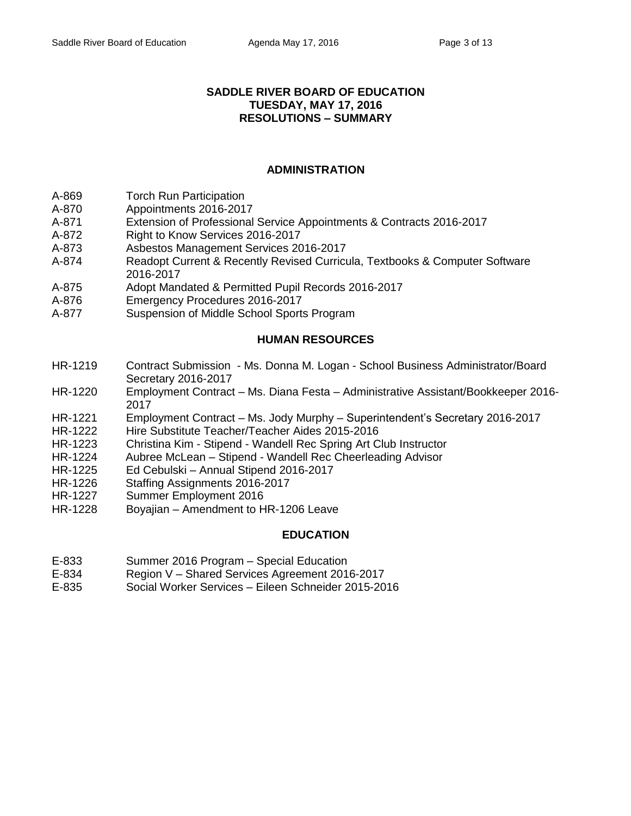#### **SADDLE RIVER BOARD OF EDUCATION TUESDAY, MAY 17, 2016 RESOLUTIONS – SUMMARY**

## **ADMINISTRATION**

- A-869 Torch Run Participation
- A-870 Appointments 2016-2017
- A-871 Extension of Professional Service Appointments & Contracts 2016-2017
- A-872 Right to Know Services 2016-2017
- A-873 Asbestos Management Services 2016-2017
- A-874 Readopt Current & Recently Revised Curricula, Textbooks & Computer Software 2016-2017
- A-875 Adopt Mandated & Permitted Pupil Records 2016-2017
- A-876 Emergency Procedures 2016-2017
- A-877 Suspension of Middle School Sports Program

# **HUMAN RESOURCES**

- HR-1219 Contract Submission Ms. Donna M. Logan School Business Administrator/Board Secretary 2016-2017
- HR-1220 Employment Contract Ms. Diana Festa Administrative Assistant/Bookkeeper 2016- 2017
- HR-1221 Employment Contract Ms. Jody Murphy Superintendent's Secretary 2016-2017
- HR-1222 Hire Substitute Teacher/Teacher Aides 2015-2016
- HR-1223 Christina Kim Stipend Wandell Rec Spring Art Club Instructor
- HR-1224 Aubree McLean Stipend Wandell Rec Cheerleading Advisor
- HR-1225 Ed Cebulski Annual Stipend 2016-2017
- HR-1226 Staffing Assignments 2016-2017
- HR-1227 Summer Employment 2016
- HR-1228 Boyajian Amendment to HR-1206 Leave

### **EDUCATION**

- E-833 Summer 2016 Program Special Education
- E-834 Region V Shared Services Agreement 2016-2017
- E-835 Social Worker Services Eileen Schneider 2015-2016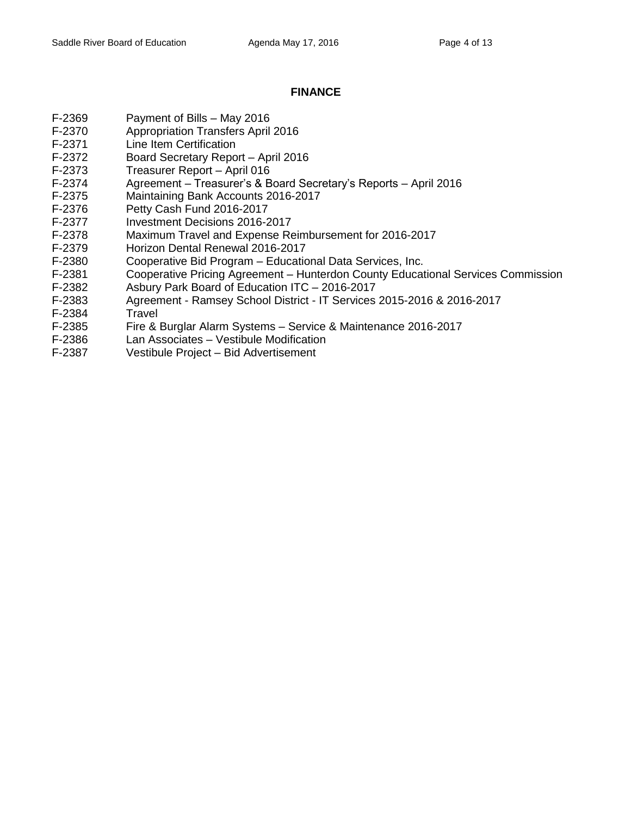## **FINANCE**

- F-2369 Payment of Bills May 2016
- F-2370 Appropriation Transfers April 2016
- F-2371 Line Item Certification
- F-2372 Board Secretary Report April 2016
- F-2373 Treasurer Report April 016
- F-2374 Agreement Treasurer's & Board Secretary's Reports April 2016
- F-2375 Maintaining Bank Accounts 2016-2017
- F-2376 Petty Cash Fund 2016-2017
- F-2377 Investment Decisions 2016-2017
- F-2378 Maximum Travel and Expense Reimbursement for 2016-2017
- F-2379 Horizon Dental Renewal 2016-2017
- F-2380 Cooperative Bid Program Educational Data Services, Inc.
- F-2381 Cooperative Pricing Agreement Hunterdon County Educational Services Commission
- F-2382 Asbury Park Board of Education ITC 2016-2017
- F-2383 Agreement Ramsey School District IT Services 2015-2016 & 2016-2017
- F-2384 Travel
- F-2385 Fire & Burglar Alarm Systems Service & Maintenance 2016-2017
- F-2386 Lan Associates Vestibule Modification
- F-2387 Vestibule Project Bid Advertisement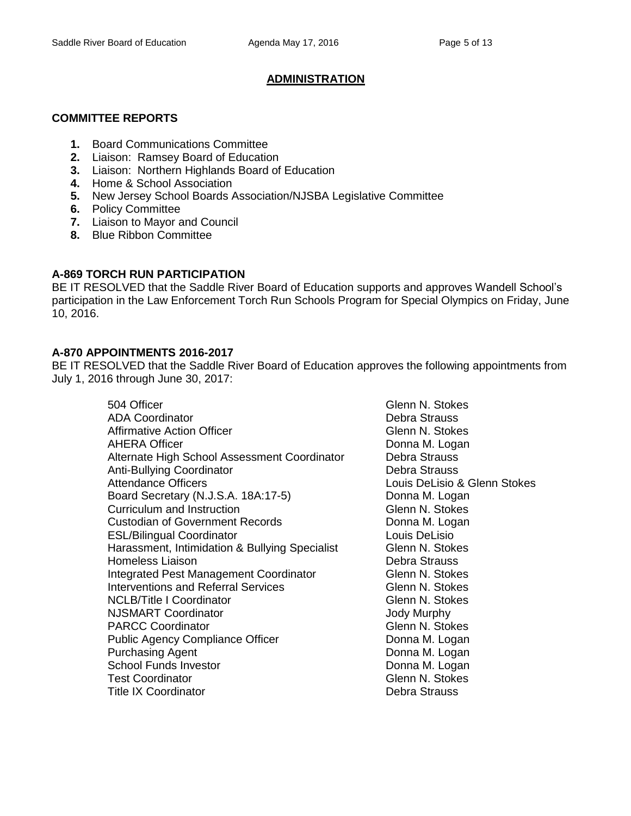# **ADMINISTRATION**

### **COMMITTEE REPORTS**

- **1.** Board Communications Committee
- **2.** Liaison: Ramsey Board of Education
- **3.** Liaison: Northern Highlands Board of Education
- **4.** Home & School Association
- **5.** New Jersey School Boards Association/NJSBA Legislative Committee
- **6.** Policy Committee
- **7.** Liaison to Mayor and Council
- **8.** Blue Ribbon Committee

## **A-869 TORCH RUN PARTICIPATION**

BE IT RESOLVED that the Saddle River Board of Education supports and approves Wandell School's participation in the Law Enforcement Torch Run Schools Program for Special Olympics on Friday, June 10, 2016.

# **A-870 APPOINTMENTS 2016-2017**

BE IT RESOLVED that the Saddle River Board of Education approves the following appointments from July 1, 2016 through June 30, 2017:

> 504 Officer Glenn N. Stokes ADA Coordinator **Debra Strauss** Affirmative Action Officer Glenn N. Stokes AHERA Officer **Donna M. Logan** Alternate High School Assessment Coordinator Debra Strauss Anti-Bullying Coordinator **Concernsive Coordinator** Debra Strauss<br>Attendance Officers **Debra Strauss** Louis DeLisio Board Secretary (N.J.S.A. 18A:17-5) Donna M. Logan Curriculum and Instruction Curriculum and Instruction Glenn N. Stokes Custodian of Government Records Donna M. Logan ESL/Bilingual Coordinator **Louis DeLisio** Louis DeLisio Harassment, Intimidation & Bullying Specialist Glenn N. Stokes Homeless Liaison **Debra Strauss** Integrated Pest Management Coordinator Glenn N. Stokes Interventions and Referral Services **Fig. 2018** Glenn N. Stokes NCLB/Title I Coordinator **Glenn N. Stokes** NJSMART Coordinator **Contract Coordinator** Coordinator Coordinator Coordinator Coordinator Coordinator Coordinator PARCC Coordinator Controller Controller Controller Controller Glenn N. Stokes Public Agency Compliance Officer **Donna M. Logan** Purchasing Agent **Donna M. Logan** School Funds Investor **Donna M. Logan** Test Coordinator Glenn N. Stokes Title IX Coordinator **Debra Strauss**

Louis DeLisio & Glenn Stokes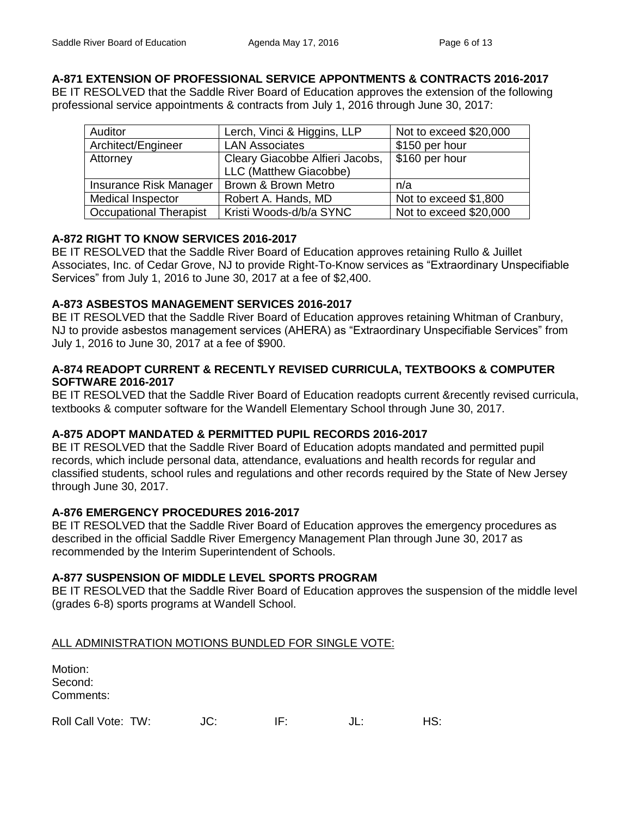## **A-871 EXTENSION OF PROFESSIONAL SERVICE APPONTMENTS & CONTRACTS 2016-2017**

BE IT RESOLVED that the Saddle River Board of Education approves the extension of the following professional service appointments & contracts from July 1, 2016 through June 30, 2017:

| Auditor                       | Lerch, Vinci & Higgins, LLP     | Not to exceed \$20,000 |
|-------------------------------|---------------------------------|------------------------|
| Architect/Engineer            | <b>LAN Associates</b>           | \$150 per hour         |
| Attorney                      | Cleary Giacobbe Alfieri Jacobs, | \$160 per hour         |
|                               | LLC (Matthew Giacobbe)          |                        |
| Insurance Risk Manager        | Brown & Brown Metro             | n/a                    |
| <b>Medical Inspector</b>      | Robert A. Hands, MD             | Not to exceed \$1,800  |
| <b>Occupational Therapist</b> | Kristi Woods-d/b/a SYNC         | Not to exceed \$20,000 |

## **A-872 RIGHT TO KNOW SERVICES 2016-2017**

BE IT RESOLVED that the Saddle River Board of Education approves retaining Rullo & Juillet Associates, Inc. of Cedar Grove, NJ to provide Right-To-Know services as "Extraordinary Unspecifiable Services" from July 1, 2016 to June 30, 2017 at a fee of \$2,400.

## **A-873 ASBESTOS MANAGEMENT SERVICES 2016-2017**

BE IT RESOLVED that the Saddle River Board of Education approves retaining Whitman of Cranbury, NJ to provide asbestos management services (AHERA) as "Extraordinary Unspecifiable Services" from July 1, 2016 to June 30, 2017 at a fee of \$900.

### **A-874 READOPT CURRENT & RECENTLY REVISED CURRICULA, TEXTBOOKS & COMPUTER SOFTWARE 2016-2017**

BE IT RESOLVED that the Saddle River Board of Education readopts current &recently revised curricula, textbooks & computer software for the Wandell Elementary School through June 30, 2017.

### **A-875 ADOPT MANDATED & PERMITTED PUPIL RECORDS 2016-2017**

BE IT RESOLVED that the Saddle River Board of Education adopts mandated and permitted pupil records, which include personal data, attendance, evaluations and health records for regular and classified students, school rules and regulations and other records required by the State of New Jersey through June 30, 2017.

# **A-876 EMERGENCY PROCEDURES 2016-2017**

BE IT RESOLVED that the Saddle River Board of Education approves the emergency procedures as described in the official Saddle River Emergency Management Plan through June 30, 2017 as recommended by the Interim Superintendent of Schools.

# **A-877 SUSPENSION OF MIDDLE LEVEL SPORTS PROGRAM**

BE IT RESOLVED that the Saddle River Board of Education approves the suspension of the middle level (grades 6-8) sports programs at Wandell School.

# ALL ADMINISTRATION MOTIONS BUNDLED FOR SINGLE VOTE:

| Motion:<br>Second:<br>Comments: |     |     |    |
|---------------------------------|-----|-----|----|
| Roll Call Vote: TW:             | JC: | IE. | c. |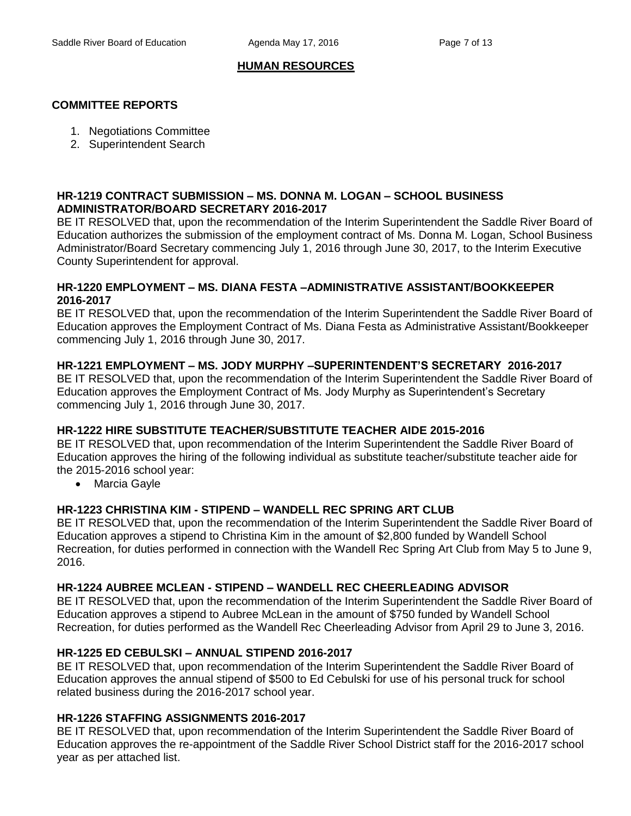## **HUMAN RESOURCES**

## **COMMITTEE REPORTS**

- 1. Negotiations Committee
- 2. Superintendent Search

#### **HR-1219 CONTRACT SUBMISSION – MS. DONNA M. LOGAN – SCHOOL BUSINESS ADMINISTRATOR/BOARD SECRETARY 2016-2017**

BE IT RESOLVED that, upon the recommendation of the Interim Superintendent the Saddle River Board of Education authorizes the submission of the employment contract of Ms. Donna M. Logan, School Business Administrator/Board Secretary commencing July 1, 2016 through June 30, 2017, to the Interim Executive County Superintendent for approval.

#### **HR-1220 EMPLOYMENT – MS. DIANA FESTA –ADMINISTRATIVE ASSISTANT/BOOKKEEPER 2016-2017**

BE IT RESOLVED that, upon the recommendation of the Interim Superintendent the Saddle River Board of Education approves the Employment Contract of Ms. Diana Festa as Administrative Assistant/Bookkeeper commencing July 1, 2016 through June 30, 2017.

## **HR-1221 EMPLOYMENT – MS. JODY MURPHY –SUPERINTENDENT'S SECRETARY 2016-2017**

BE IT RESOLVED that, upon the recommendation of the Interim Superintendent the Saddle River Board of Education approves the Employment Contract of Ms. Jody Murphy as Superintendent's Secretary commencing July 1, 2016 through June 30, 2017.

### **HR-1222 HIRE SUBSTITUTE TEACHER/SUBSTITUTE TEACHER AIDE 2015-2016**

BE IT RESOLVED that, upon recommendation of the Interim Superintendent the Saddle River Board of Education approves the hiring of the following individual as substitute teacher/substitute teacher aide for the 2015-2016 school year:

• Marcia Gavle

### **HR-1223 CHRISTINA KIM - STIPEND – WANDELL REC SPRING ART CLUB**

BE IT RESOLVED that, upon the recommendation of the Interim Superintendent the Saddle River Board of Education approves a stipend to Christina Kim in the amount of \$2,800 funded by Wandell School Recreation, for duties performed in connection with the Wandell Rec Spring Art Club from May 5 to June 9, 2016.

### **HR-1224 AUBREE MCLEAN - STIPEND – WANDELL REC CHEERLEADING ADVISOR**

BE IT RESOLVED that, upon the recommendation of the Interim Superintendent the Saddle River Board of Education approves a stipend to Aubree McLean in the amount of \$750 funded by Wandell School Recreation, for duties performed as the Wandell Rec Cheerleading Advisor from April 29 to June 3, 2016.

### **HR-1225 ED CEBULSKI – ANNUAL STIPEND 2016-2017**

BE IT RESOLVED that, upon recommendation of the Interim Superintendent the Saddle River Board of Education approves the annual stipend of \$500 to Ed Cebulski for use of his personal truck for school related business during the 2016-2017 school year.

### **HR-1226 STAFFING ASSIGNMENTS 2016-2017**

BE IT RESOLVED that, upon recommendation of the Interim Superintendent the Saddle River Board of Education approves the re-appointment of the Saddle River School District staff for the 2016-2017 school year as per attached list.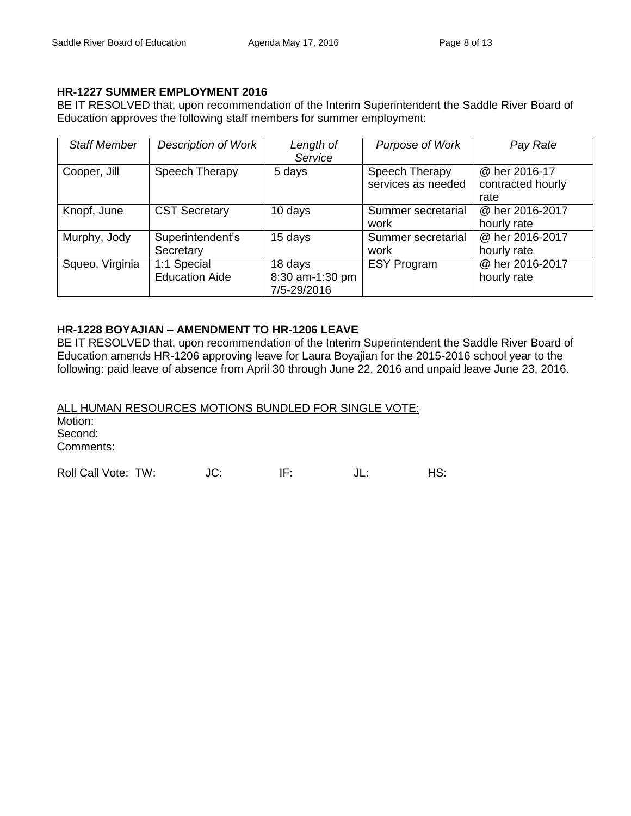## **HR-1227 SUMMER EMPLOYMENT 2016**

BE IT RESOLVED that, upon recommendation of the Interim Superintendent the Saddle River Board of Education approves the following staff members for summer employment:

| <b>Staff Member</b> | <b>Description of Work</b>           | Length of<br>Service                      | Purpose of Work                      | Pay Rate                                   |
|---------------------|--------------------------------------|-------------------------------------------|--------------------------------------|--------------------------------------------|
| Cooper, Jill        | Speech Therapy                       | 5 days                                    | Speech Therapy<br>services as needed | @ her 2016-17<br>contracted hourly<br>rate |
| Knopf, June         | <b>CST Secretary</b>                 | 10 days                                   | Summer secretarial<br>work           | @ her 2016-2017<br>hourly rate             |
| Murphy, Jody        | Superintendent's<br>Secretary        | 15 days                                   | Summer secretarial<br>work           | @ her 2016-2017<br>hourly rate             |
| Squeo, Virginia     | 1:1 Special<br><b>Education Aide</b> | 18 days<br>8:30 am-1:30 pm<br>7/5-29/2016 | <b>ESY Program</b>                   | @ her 2016-2017<br>hourly rate             |

## **HR-1228 BOYAJIAN – AMENDMENT TO HR-1206 LEAVE**

BE IT RESOLVED that, upon recommendation of the Interim Superintendent the Saddle River Board of Education amends HR-1206 approving leave for Laura Boyajian for the 2015-2016 school year to the following: paid leave of absence from April 30 through June 22, 2016 and unpaid leave June 23, 2016.

ALL HUMAN RESOURCES MOTIONS BUNDLED FOR SINGLE VOTE: Motion: Second: Comments: Roll Call Vote: TW:  $JC:$  IF:  $JL:$  HS: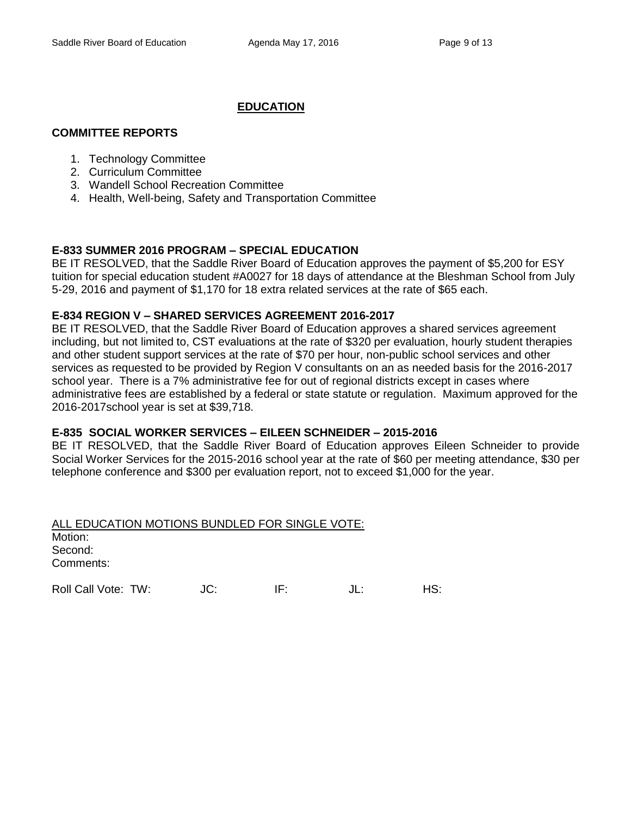## **EDUCATION**

#### **COMMITTEE REPORTS**

- 1. Technology Committee
- 2. Curriculum Committee
- 3. Wandell School Recreation Committee
- 4. Health, Well-being, Safety and Transportation Committee

### **E-833 SUMMER 2016 PROGRAM – SPECIAL EDUCATION**

BE IT RESOLVED, that the Saddle River Board of Education approves the payment of \$5,200 for ESY tuition for special education student #A0027 for 18 days of attendance at the Bleshman School from July 5-29, 2016 and payment of \$1,170 for 18 extra related services at the rate of \$65 each.

### **E-834 REGION V – SHARED SERVICES AGREEMENT 2016-2017**

BE IT RESOLVED, that the Saddle River Board of Education approves a shared services agreement including, but not limited to, CST evaluations at the rate of \$320 per evaluation, hourly student therapies and other student support services at the rate of \$70 per hour, non-public school services and other services as requested to be provided by Region V consultants on an as needed basis for the 2016-2017 school year. There is a 7% administrative fee for out of regional districts except in cases where administrative fees are established by a federal or state statute or regulation. Maximum approved for the 2016-2017school year is set at \$39,718.

### **E-835 SOCIAL WORKER SERVICES – EILEEN SCHNEIDER – 2015-2016**

BE IT RESOLVED, that the Saddle River Board of Education approves Eileen Schneider to provide Social Worker Services for the 2015-2016 school year at the rate of \$60 per meeting attendance, \$30 per telephone conference and \$300 per evaluation report, not to exceed \$1,000 for the year.

| ALL EDUCATION MOTIONS BUNDLED FOR SINGLE VOTE: |     |     |
|------------------------------------------------|-----|-----|
| Motion:                                        |     |     |
| Second:                                        |     |     |
| Comments:                                      |     |     |
|                                                |     |     |
| Roll Call Vote: TW:                            | IF۰ | IS: |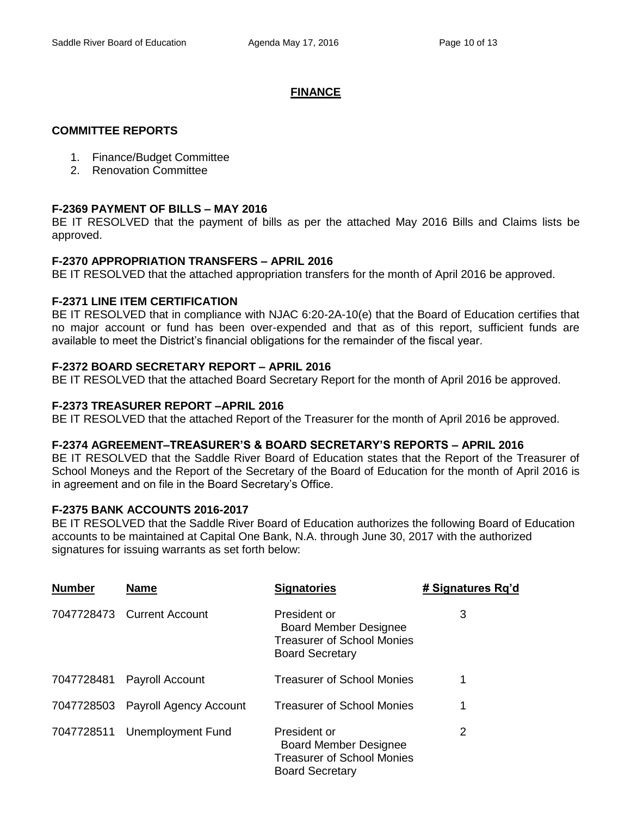## **FINANCE**

### **COMMITTEE REPORTS**

- 1. Finance/Budget Committee
- 2. Renovation Committee

## **F-2369 PAYMENT OF BILLS – MAY 2016**

BE IT RESOLVED that the payment of bills as per the attached May 2016 Bills and Claims lists be approved.

## **F-2370 APPROPRIATION TRANSFERS – APRIL 2016**

BE IT RESOLVED that the attached appropriation transfers for the month of April 2016 be approved.

## **F-2371 LINE ITEM CERTIFICATION**

BE IT RESOLVED that in compliance with NJAC 6:20-2A-10(e) that the Board of Education certifies that no major account or fund has been over-expended and that as of this report, sufficient funds are available to meet the District's financial obligations for the remainder of the fiscal year.

## **F-2372 BOARD SECRETARY REPORT – APRIL 2016**

BE IT RESOLVED that the attached Board Secretary Report for the month of April 2016 be approved.

## **F-2373 TREASURER REPORT –APRIL 2016**

BE IT RESOLVED that the attached Report of the Treasurer for the month of April 2016 be approved.

### **F-2374 AGREEMENT–TREASURER'S & BOARD SECRETARY'S REPORTS – APRIL 2016**

BE IT RESOLVED that the Saddle River Board of Education states that the Report of the Treasurer of School Moneys and the Report of the Secretary of the Board of Education for the month of April 2016 is in agreement and on file in the Board Secretary's Office.

### **F-2375 BANK ACCOUNTS 2016-2017**

BE IT RESOLVED that the Saddle River Board of Education authorizes the following Board of Education accounts to be maintained at Capital One Bank, N.A. through June 30, 2017 with the authorized signatures for issuing warrants as set forth below:

| <b>Number</b> | <b>Name</b>                   | <b>Signatories</b>                                                                                          | # Signatures Rq'd |
|---------------|-------------------------------|-------------------------------------------------------------------------------------------------------------|-------------------|
|               | 7047728473 Current Account    | President or<br><b>Board Member Designee</b><br><b>Treasurer of School Monies</b><br><b>Board Secretary</b> | 3                 |
| 7047728481    | Payroll Account               | Treasurer of School Monies                                                                                  | 1                 |
| 7047728503    | <b>Payroll Agency Account</b> | Treasurer of School Monies                                                                                  | 1                 |
| 7047728511    | <b>Unemployment Fund</b>      | President or<br><b>Board Member Designee</b><br><b>Treasurer of School Monies</b><br><b>Board Secretary</b> | 2                 |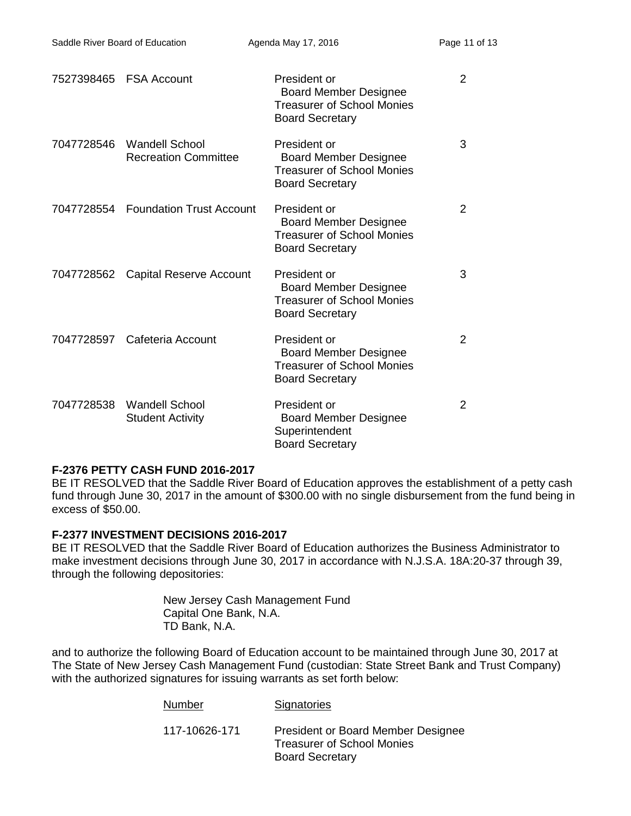|            |                                                      | President or<br><b>Board Member Designee</b><br><b>Treasurer of School Monies</b><br><b>Board Secretary</b> | 2 |
|------------|------------------------------------------------------|-------------------------------------------------------------------------------------------------------------|---|
| 7047728546 | <b>Wandell School</b><br><b>Recreation Committee</b> | President or<br><b>Board Member Designee</b><br><b>Treasurer of School Monies</b><br><b>Board Secretary</b> | 3 |
|            | 7047728554 Foundation Trust Account                  | President or<br><b>Board Member Designee</b><br><b>Treasurer of School Monies</b><br><b>Board Secretary</b> | 2 |
|            | 7047728562 Capital Reserve Account                   | President or<br><b>Board Member Designee</b><br><b>Treasurer of School Monies</b><br><b>Board Secretary</b> | 3 |
|            | 7047728597 Cafeteria Account                         | President or<br><b>Board Member Designee</b><br><b>Treasurer of School Monies</b><br><b>Board Secretary</b> | 2 |
| 7047728538 | <b>Wandell School</b><br><b>Student Activity</b>     | President or<br><b>Board Member Designee</b><br>Superintendent<br><b>Board Secretary</b>                    | 2 |

### **F-2376 PETTY CASH FUND 2016-2017**

BE IT RESOLVED that the Saddle River Board of Education approves the establishment of a petty cash fund through June 30, 2017 in the amount of \$300.00 with no single disbursement from the fund being in excess of \$50.00.

### **F-2377 INVESTMENT DECISIONS 2016-2017**

BE IT RESOLVED that the Saddle River Board of Education authorizes the Business Administrator to make investment decisions through June 30, 2017 in accordance with N.J.S.A. 18A:20-37 through 39, through the following depositories:

> New Jersey Cash Management Fund Capital One Bank, N.A. TD Bank, N.A.

and to authorize the following Board of Education account to be maintained through June 30, 2017 at The State of New Jersey Cash Management Fund (custodian: State Street Bank and Trust Company) with the authorized signatures for issuing warrants as set forth below:

| Number        | Signatories                                                                                              |
|---------------|----------------------------------------------------------------------------------------------------------|
| 117-10626-171 | <b>President or Board Member Designee</b><br><b>Treasurer of School Monies</b><br><b>Board Secretary</b> |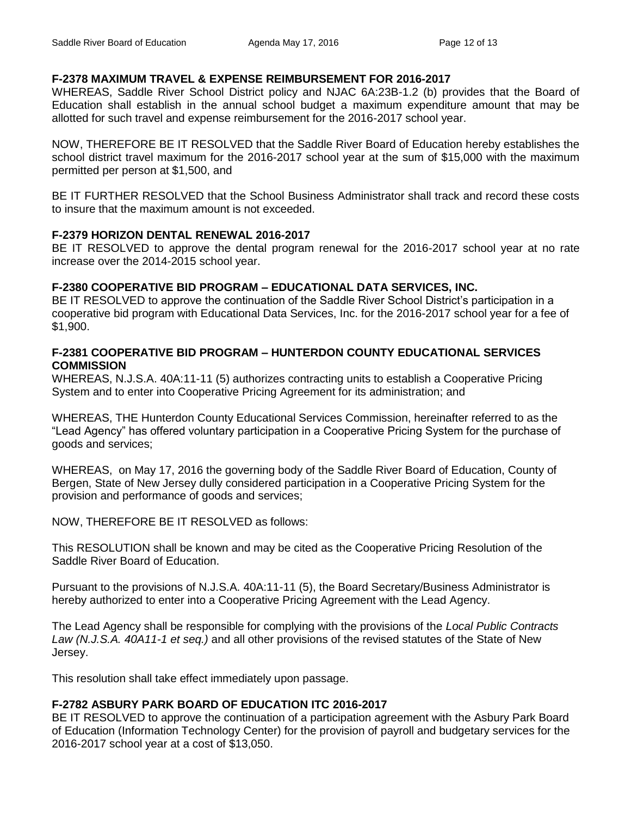## **F-2378 MAXIMUM TRAVEL & EXPENSE REIMBURSEMENT FOR 2016-2017**

WHEREAS, Saddle River School District policy and NJAC 6A:23B-1.2 (b) provides that the Board of Education shall establish in the annual school budget a maximum expenditure amount that may be allotted for such travel and expense reimbursement for the 2016-2017 school year.

NOW, THEREFORE BE IT RESOLVED that the Saddle River Board of Education hereby establishes the school district travel maximum for the 2016-2017 school year at the sum of \$15,000 with the maximum permitted per person at \$1,500, and

BE IT FURTHER RESOLVED that the School Business Administrator shall track and record these costs to insure that the maximum amount is not exceeded.

### **F-2379 HORIZON DENTAL RENEWAL 2016-2017**

BE IT RESOLVED to approve the dental program renewal for the 2016-2017 school year at no rate increase over the 2014-2015 school year.

## **F-2380 COOPERATIVE BID PROGRAM – EDUCATIONAL DATA SERVICES, INC.**

BE IT RESOLVED to approve the continuation of the Saddle River School District's participation in a cooperative bid program with Educational Data Services, Inc. for the 2016-2017 school year for a fee of \$1,900.

### **F-2381 COOPERATIVE BID PROGRAM – HUNTERDON COUNTY EDUCATIONAL SERVICES COMMISSION**

WHEREAS, N.J.S.A. 40A:11-11 (5) authorizes contracting units to establish a Cooperative Pricing System and to enter into Cooperative Pricing Agreement for its administration; and

WHEREAS, THE Hunterdon County Educational Services Commission, hereinafter referred to as the "Lead Agency" has offered voluntary participation in a Cooperative Pricing System for the purchase of goods and services;

WHEREAS, on May 17, 2016 the governing body of the Saddle River Board of Education, County of Bergen, State of New Jersey dully considered participation in a Cooperative Pricing System for the provision and performance of goods and services;

NOW, THEREFORE BE IT RESOLVED as follows:

This RESOLUTION shall be known and may be cited as the Cooperative Pricing Resolution of the Saddle River Board of Education.

Pursuant to the provisions of N.J.S.A. 40A:11-11 (5), the Board Secretary/Business Administrator is hereby authorized to enter into a Cooperative Pricing Agreement with the Lead Agency.

The Lead Agency shall be responsible for complying with the provisions of the *Local Public Contracts Law (N.J.S.A. 40A11-1 et seq.)* and all other provisions of the revised statutes of the State of New Jersey.

This resolution shall take effect immediately upon passage.

# **F-2782 ASBURY PARK BOARD OF EDUCATION ITC 2016-2017**

BE IT RESOLVED to approve the continuation of a participation agreement with the Asbury Park Board of Education (Information Technology Center) for the provision of payroll and budgetary services for the 2016-2017 school year at a cost of \$13,050.